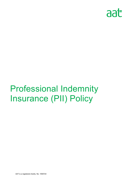

# Professional Indemnity Insurance (PII) Policy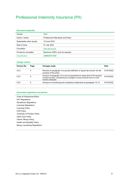# Professional Indemnity Insurance (PII)

#### **Document properties**

| Version                | V2.0                                 |
|------------------------|--------------------------------------|
| Owner / author         | Professional Standards and Policy    |
| Supersedes when issued | 19 June 2019                         |
| Date of issue          | 01 July 2022                         |
| Circulation            | www.aat.org.uk                       |
| Format for circulation | Electronic (PDF); print as required. |
| Classification         | <b>UNRESTICTED</b>                   |

#### **Change control**

| <b>Version No.</b> | Page | <b>Changes made</b>                                                                                                                                                                  | <b>Date</b> |
|--------------------|------|--------------------------------------------------------------------------------------------------------------------------------------------------------------------------------------|-------------|
| V2.0               |      | Revision to paragraph 3 to provide definition of 'gross fee income' for the<br>purpose of the policy.                                                                                | 01/07/2022  |
| V2.0               | 5    | Inclusion of paragraph 10 to set out requirement to renew level of PII required<br>at least annually, considering any changes to ensure that the level of cover<br>remains adequate. | 01/07/2022  |
| V2.0               | 5    | Inclusion of monitoring and compliance statements at paragraph 12-14.                                                                                                                | 01/07/2022  |

#### **Associated regulations and polices**

*Code of Professional Ethics AAT Regulations Disciplinary Regulations Licensing Regulations Licensing Policy CPD Policy Continuity of Practice Policy Client Care Policy Clients' Money Policy Health and Disability Policy Money Laundering Regulations* 

*.*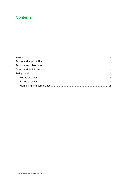## **Contents**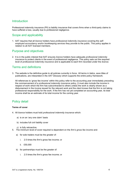## Introduction

Professional indemnity insurance (PII) is liability insurance that covers firms when a third-party claims to have suffered a loss, usually due to professional negligence.

## Scope and applicability

1. AAT requires that all *licence* holders have *professional indemnity insurance* covering the *selfemployed accountancy and/or bookkeeping services* they provide to the public. This policy applies in relation to all AAT licensed members.

## Purpose and objectives

2. It is in the public interest that AAT ensures *licence* holders have adequate *professional indemnity insurance* to protect clients in the event of professional negligence. This policy sets out the required level of *professional indemnity insurance* and is applicable to each firm recorded under the *licence*.

## Terms and definitions

3. The website is the definitive guide to all policies currently in force. All terms in italics, save titles of publications, are interpreted in the *AAT Glossary* which supports the entire policy framework.

All references to 'gross fee income' within this policy refer to the accounting year immediately preceding the commencement of a *professional indemnity insurance* policy. It must also include the income in respect of work which the firm has subcontracted to others unless the work is clearly shown as a disbursement in the invoice issued for the relevant work and the client knows that the firm is not taking professional responsibility for the work. If the firm has not yet completed an accounting year, its total income shall be an estimate of its total income for the coming year.

## Policy detail

#### **Terms of cover**

- 4. All *licence* holders must hold *professional indemnity insurance* which:
	- a) is on an 'any one claim' basis
	- b) includes full civil liability cover
	- c) is fully retroactive.
- 5. The minimum level of cover required is dependent on the *firm's gross fee income* and:
	- a) for sole traders must be the greater of:
		- i. 2.5 times the *firm*'s gross fee income; or
		- ii. £50,000
	- b) for partnerships must be the greater of:
		- i. 2.5 times the *firm*'s gross fee income; or

*.*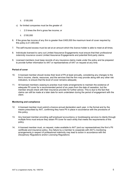- ii. £100,000
- c) for limited companies must be the greater of:
	- i. 2.5 times the *firm*'s gross fee income; or
	- ii. £100,000
- 6. If the gross fee income of any *firm* is greater than £400,000 the maximum level of cover required by this policy is £1,000,000.
- 7. The self-insured excess must be set at an amount which the *licence* holder is able to meet at all times.
- 8. Individuals licensed to carry out Limited Assurance Engagements must ensure that their *professional indemnity insurance* covers Limited Assurance Engagements and potential third-party claims.
- 9. Licensed members must keep records of any insurance claims made under the policy and be prepared to provide further information to AAT or representatives of AAT on request at any time.

#### **Period of cover**

- 10. A licensed member should review their level of PII at least annually, considering any changes to the firm's income, clients, resources, and the services that the firm may provide along with any other risk indicators, to ensure that the level of cover remains adequate.
- 11. All licensed members ceasing to practise must make arrangements to maintain the existence of adequate PII cover for a recommended period of six years from the date of cessation, but the member should check with their insurance provider for further advice. This is due to the fact that claims can still be made at a later date for work undertaken during the period of engagement with the client.

#### **Monitoring and compliance**

- 12. A licensed member must submit a licence annual declaration each year, in the format and by the means prescribed by AAT, confirming they have PII in place in accordance with the provisions of this policy.
- 13. Any licensed member providing *self-employed accountancy or bookkeeping services* to clients through multiple firms must ensure they obtain PII cover for each entity that meets the requirements of this policy.
- 14. A licensed member must, on request, make available to AAT (and our representatives) the firm's PII certificate and insurance policy. Any failure by a member to cooperate with AAT's monitoring arrangements in respect of professional indemnity may lead to action in accordance with the *Disciplinary Regulations* and/or *Licensing Regulations.*